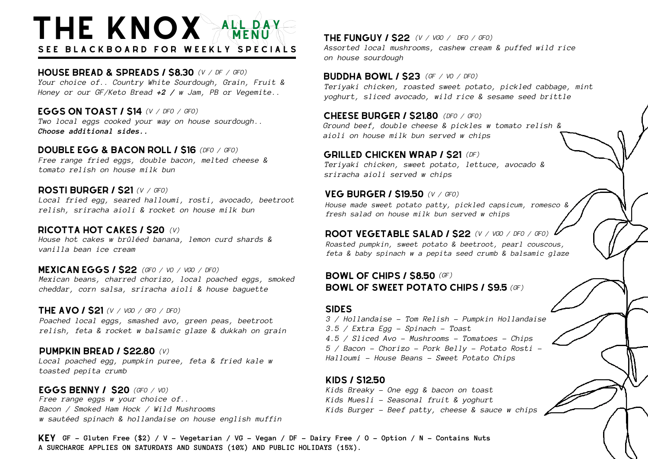# THE KNOX MENUY SEE BLACKBOARD FOR WEEKLY SPECIALS

house bread & spreads / \$8.30 *(V / DF / GFO) Your choice of.. Country White Sourdough, Grain, Fruit & Honey or our GF/Keto Bread +2 / w Jam, PB or Vegemite..*

*(V / DFO / GFO)* eggs on toast / \$14 *Two local eggs cooked your way on house sourdough.. Choose additional sides..*

**DOUBLE EGG & BACON ROLL / \$16** (DFO / GFO) *Free range fried eggs, double bacon, melted cheese & tomato relish on house milk bun*

#### rosti burger / \$21 *(V / GFO) Local fried egg, seared halloumi, rosti, avocado, beetroot relish, sriracha aioli & rocket on house milk bun*

ricotta hot cakes / \$20 *(V) House hot cakes w brûléed banana, lemon curd shards & vanilla bean ice cream*

*(GFO / VO / VGO / DFO)* mexican eggs / \$22 *Mexican beans, charred chorizo, local poached eggs, smoked cheddar, corn salsa, sriracha aioli & house baguette*

### the avo / \$21 *(V / VGO / GFO / DFO)*

*Poached local eggs, smashed avo, green peas, beetroot relish, feta & rocket w balsamic glaze & dukkah on grain*

### *(V)* PUMPKIN BREAD / \$22.80

*Local poached egg, pumpkin puree, feta & fried kale w toasted pepita crumb*

eggs benny / \$20 *(GFO / VO) Free range eggs w your choice of.. Bacon / Smoked Ham Hock / Wild Mushrooms w sautéed spinach & hollandaise on house english muffin* the funguy / \$22 *(V / VGO / DFO / GFO) Assorted local mushrooms, cashew cream & puffed wild rice on house sourdough*

buddha bowl / \$23 *(GF / VO / DFO) Teriyaki chicken, roasted sweet potato, pickled cabbage, mint yoghurt, sliced avocado, wild rice & sesame seed brittle*

cheese burger / \$21.80 *(DFO / GFO) Ground beef, double cheese & pickles w tomato relish & aioli on house milk bun served w chips*

## **GRILLED CHICKEN WRAP / \$21 (DF)**

*Teriyaki chicken, sweet potato, lettuce, avocado & sriracha aioli served w chips*

### veg burger / \$19.50 *(V / GFO)*

*House made sweet potato patty, pickled capsicum, romesco & fresh salad on house milk bun served w chips*

root vegetable salad / \$22 *(V / VGO / DFO / GFO) Roasted pumpkin, sweet potato & beetroot, pearl couscous,*

*feta & baby spinach w a pepita seed crumb & balsamic glaze*

### bowl of chips / \$8.50 *(GF)* bowl of sweet potato chips / \$9.5 *(GF)*

### **SIDES**

*3 / Hollandaise - Tom Relish - Pumpkin Hollandaise 3.5 / Extra Egg - Spinach - Toast 4.5 / Sliced Avo - Mushrooms - Tomatoes - Chips 5 / Bacon - Chorizo - Pork Belly - Potato Rosti - Halloumi - House Beans - Sweet Potato Chips*

### kids / \$12.50

*Kids Breaky - One egg & bacon on toast Kids Muesli - Seasonal fruit & yoghurt Kids Burger - Beef patty, cheese & sauce w chips*

KEY GF - Gluten Free (\$2) / V - Vegetarian / VG - Vegan / DF - Dairy Free / O - Option / N - Contains Nuts **A SURCHARGE APPLIES ON SATURDAYS AND SUNDAYS (10%) AND PUBLIC HOLIDAYS (15%).**